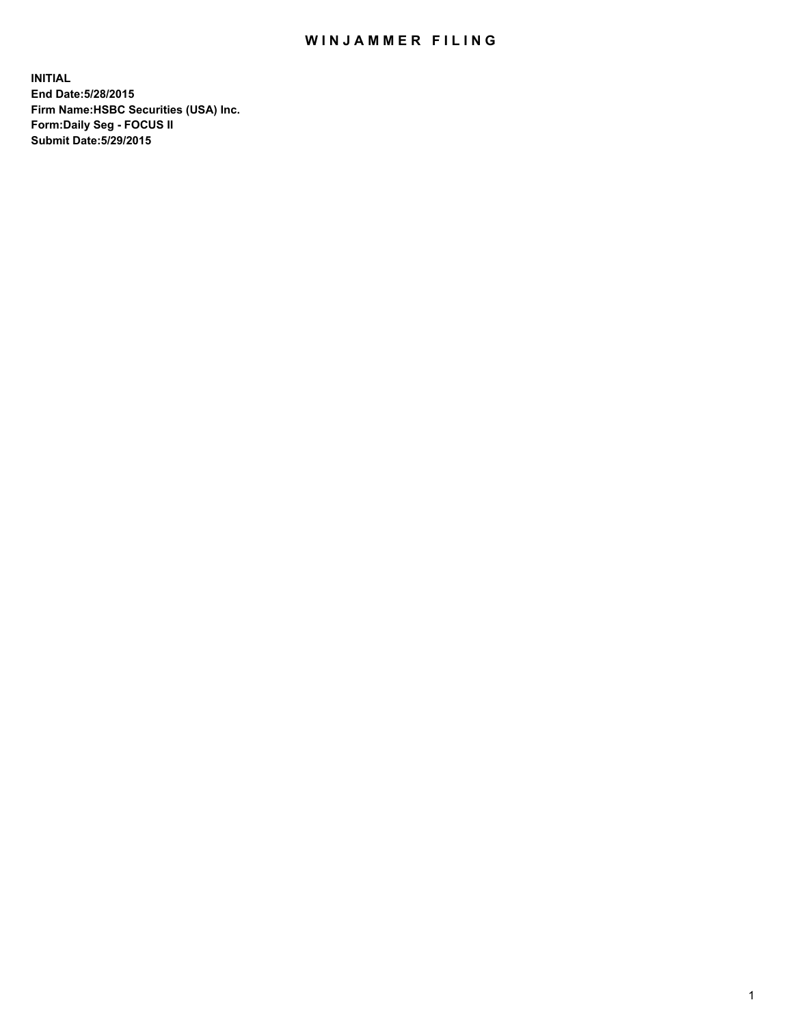## WIN JAMMER FILING

**INITIAL End Date:5/28/2015 Firm Name:HSBC Securities (USA) Inc. Form:Daily Seg - FOCUS II Submit Date:5/29/2015**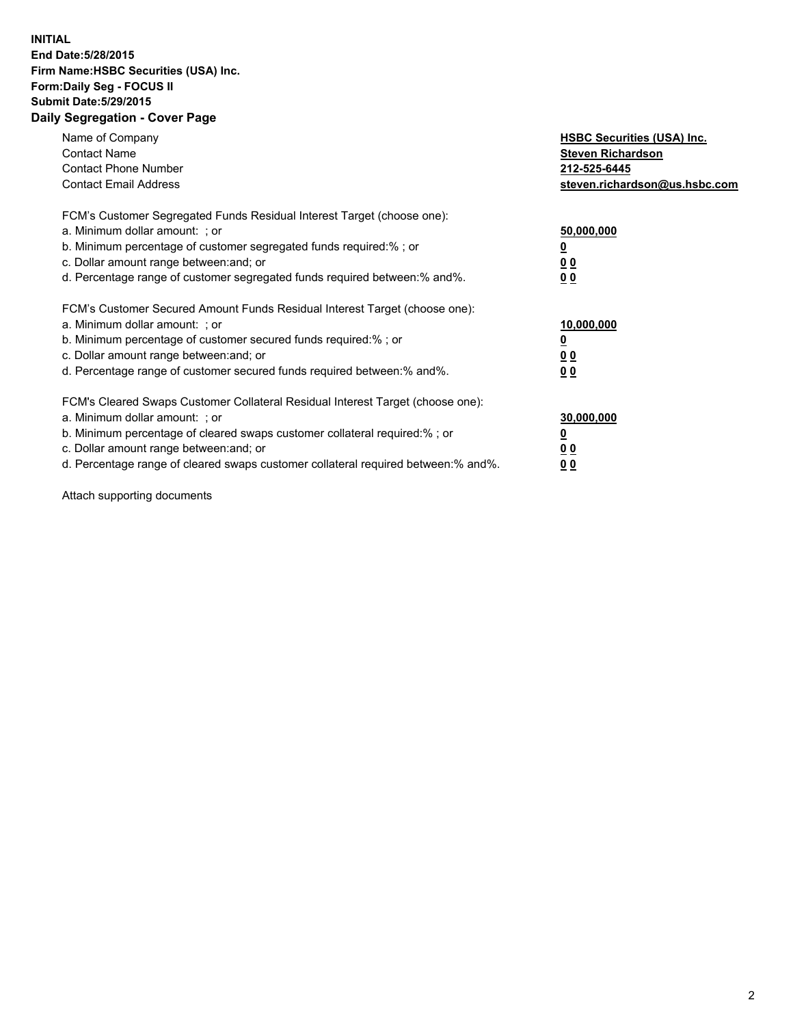## **INITIAL End Date:5/28/2015 Firm Name:HSBC Securities (USA) Inc. Form:Daily Seg - FOCUS II Submit Date:5/29/2015 Daily Segregation - Cover Page**

| Name of Company<br><b>Contact Name</b><br><b>Contact Phone Number</b><br><b>Contact Email Address</b>                                                                                                                                                                                                                          | <b>HSBC Securities (USA) Inc.</b><br><b>Steven Richardson</b><br>212-525-6445<br>steven.richardson@us.hsbc.com |
|--------------------------------------------------------------------------------------------------------------------------------------------------------------------------------------------------------------------------------------------------------------------------------------------------------------------------------|----------------------------------------------------------------------------------------------------------------|
| FCM's Customer Segregated Funds Residual Interest Target (choose one):<br>a. Minimum dollar amount: ; or<br>b. Minimum percentage of customer segregated funds required:%; or<br>c. Dollar amount range between: and; or<br>d. Percentage range of customer segregated funds required between: % and %.                        | 50,000,000<br>0 <sub>0</sub><br>0 <sub>0</sub>                                                                 |
| FCM's Customer Secured Amount Funds Residual Interest Target (choose one):<br>a. Minimum dollar amount: ; or<br>b. Minimum percentage of customer secured funds required:%; or<br>c. Dollar amount range between: and; or<br>d. Percentage range of customer secured funds required between:% and%.                            | 10,000,000<br><u>0</u><br>0 <sub>0</sub><br>0 <sub>0</sub>                                                     |
| FCM's Cleared Swaps Customer Collateral Residual Interest Target (choose one):<br>a. Minimum dollar amount: ; or<br>b. Minimum percentage of cleared swaps customer collateral required:% ; or<br>c. Dollar amount range between: and; or<br>d. Percentage range of cleared swaps customer collateral required between:% and%. | 30,000,000<br>00<br><u>00</u>                                                                                  |

Attach supporting documents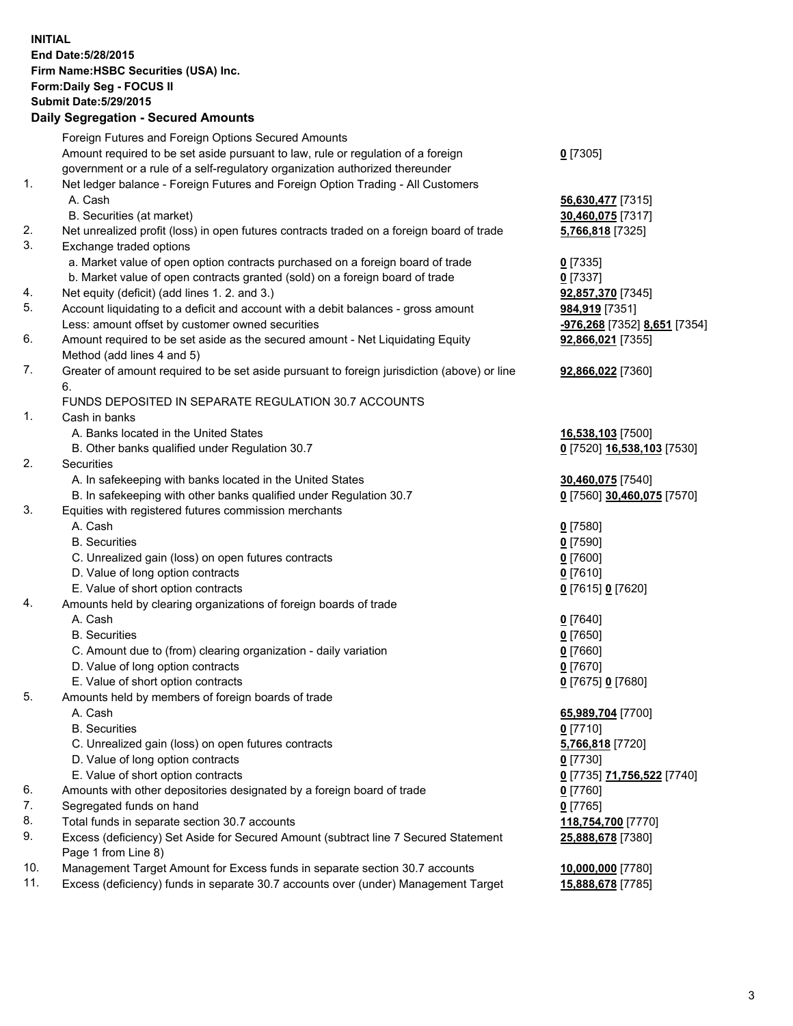**INITIAL End Date:5/28/2015 Firm Name:HSBC Securities (USA) Inc. Form:Daily Seg - FOCUS II Submit Date:5/29/2015 Daily Segregation - Secured Amounts**

Foreign Futures and Foreign Options Secured Amounts Amount required to be set aside pursuant to law, rule or regulation of a foreign government or a rule of a self-regulatory organization authorized thereunder **0** [7305] 1. Net ledger balance - Foreign Futures and Foreign Option Trading - All Customers A. Cash **56,630,477** [7315] B. Securities (at market) **30,460,075** [7317] 2. Net unrealized profit (loss) in open futures contracts traded on a foreign board of trade **5,766,818** [7325] 3. Exchange traded options a. Market value of open option contracts purchased on a foreign board of trade **0** [7335] b. Market value of open contracts granted (sold) on a foreign board of trade **0** [7337] 4. Net equity (deficit) (add lines 1. 2. and 3.) **92,857,370** [7345] 5. Account liquidating to a deficit and account with a debit balances - gross amount **984,919** [7351] Less: amount offset by customer owned securities **-976,268** [7352] **8,651** [7354] 6. Amount required to be set aside as the secured amount - Net Liquidating Equity Method (add lines 4 and 5) **92,866,021** [7355] 7. Greater of amount required to be set aside pursuant to foreign jurisdiction (above) or line 6. **92,866,022** [7360] FUNDS DEPOSITED IN SEPARATE REGULATION 30.7 ACCOUNTS 1. Cash in banks A. Banks located in the United States **16,538,103** [7500] B. Other banks qualified under Regulation 30.7 **0** [7520] **16,538,103** [7530] 2. Securities A. In safekeeping with banks located in the United States **30,460,075** [7540] B. In safekeeping with other banks qualified under Regulation 30.7 **0** [7560] **30,460,075** [7570] 3. Equities with registered futures commission merchants A. Cash **0** [7580] B. Securities **0** [7590] C. Unrealized gain (loss) on open futures contracts **0** [7600] D. Value of long option contracts **0** [7610] E. Value of short option contracts **0** [7615] **0** [7620] 4. Amounts held by clearing organizations of foreign boards of trade A. Cash **0** [7640] B. Securities **0** [7650] C. Amount due to (from) clearing organization - daily variation **0** [7660] D. Value of long option contracts **0** [7670] E. Value of short option contracts **0** [7675] **0** [7680] 5. Amounts held by members of foreign boards of trade A. Cash **65,989,704** [7700] B. Securities **0** [7710] C. Unrealized gain (loss) on open futures contracts **5,766,818** [7720] D. Value of long option contracts **0** [7730] E. Value of short option contracts **0** [7735] **71,756,522** [7740] 6. Amounts with other depositories designated by a foreign board of trade **0** [7760] 7. Segregated funds on hand **0** [7765] 8. Total funds in separate section 30.7 accounts **118,754,700** [7770] 9. Excess (deficiency) Set Aside for Secured Amount (subtract line 7 Secured Statement Page 1 from Line 8) **25,888,678** [7380] 10. Management Target Amount for Excess funds in separate section 30.7 accounts **10,000,000** [7780] 11. Excess (deficiency) funds in separate 30.7 accounts over (under) Management Target **15,888,678** [7785]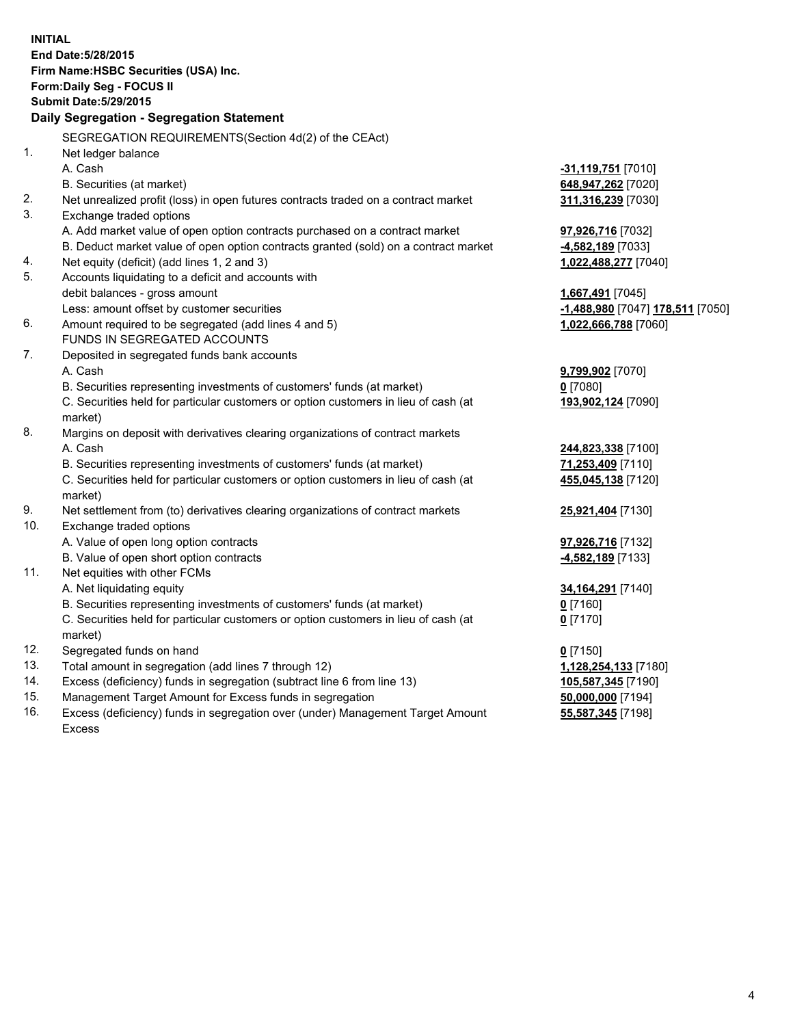| <b>INITIAL</b>                | End Date: 5/28/2015<br>Firm Name: HSBC Securities (USA) Inc.<br>Form: Daily Seg - FOCUS II                    |                                  |  |  |  |
|-------------------------------|---------------------------------------------------------------------------------------------------------------|----------------------------------|--|--|--|
| <b>Submit Date: 5/29/2015</b> |                                                                                                               |                                  |  |  |  |
|                               | Daily Segregation - Segregation Statement                                                                     |                                  |  |  |  |
|                               |                                                                                                               |                                  |  |  |  |
|                               | SEGREGATION REQUIREMENTS(Section 4d(2) of the CEAct)                                                          |                                  |  |  |  |
| 1.                            | Net ledger balance                                                                                            |                                  |  |  |  |
|                               | A. Cash                                                                                                       | -31,119,751 [7010]               |  |  |  |
|                               | B. Securities (at market)                                                                                     | 648,947,262 [7020]               |  |  |  |
| 2.<br>3.                      | Net unrealized profit (loss) in open futures contracts traded on a contract market<br>Exchange traded options | 311,316,239 [7030]               |  |  |  |
|                               | A. Add market value of open option contracts purchased on a contract market                                   | 97,926,716 [7032]                |  |  |  |
|                               | B. Deduct market value of open option contracts granted (sold) on a contract market                           | -4,582,189 [7033]                |  |  |  |
| 4.                            | Net equity (deficit) (add lines 1, 2 and 3)                                                                   | 1,022,488,277 [7040]             |  |  |  |
| 5.                            | Accounts liquidating to a deficit and accounts with                                                           |                                  |  |  |  |
|                               | debit balances - gross amount                                                                                 | 1,667,491 [7045]                 |  |  |  |
|                               | Less: amount offset by customer securities                                                                    | -1,488,980 [7047] 178,511 [7050] |  |  |  |
| 6.                            | Amount required to be segregated (add lines 4 and 5)                                                          | 1,022,666,788 [7060]             |  |  |  |
|                               | FUNDS IN SEGREGATED ACCOUNTS                                                                                  |                                  |  |  |  |
| 7.                            | Deposited in segregated funds bank accounts                                                                   |                                  |  |  |  |
|                               | A. Cash                                                                                                       | 9,799,902 [7070]                 |  |  |  |
|                               | B. Securities representing investments of customers' funds (at market)                                        | $0$ [7080]                       |  |  |  |
|                               | C. Securities held for particular customers or option customers in lieu of cash (at<br>market)                | 193,902,124 [7090]               |  |  |  |
| 8.                            | Margins on deposit with derivatives clearing organizations of contract markets                                |                                  |  |  |  |
|                               | A. Cash                                                                                                       | 244,823,338 [7100]               |  |  |  |
|                               | B. Securities representing investments of customers' funds (at market)                                        | 71,253,409 [7110]                |  |  |  |
|                               | C. Securities held for particular customers or option customers in lieu of cash (at                           | 455,045,138 [7120]               |  |  |  |
|                               | market)                                                                                                       |                                  |  |  |  |
| 9.                            | Net settlement from (to) derivatives clearing organizations of contract markets                               | 25,921,404 [7130]                |  |  |  |
| 10.                           | Exchange traded options                                                                                       |                                  |  |  |  |
|                               | A. Value of open long option contracts                                                                        | 97,926,716 [7132]                |  |  |  |
|                               | B. Value of open short option contracts                                                                       | -4,582,189 [7133]                |  |  |  |
| 11.                           | Net equities with other FCMs                                                                                  |                                  |  |  |  |
|                               | A. Net liquidating equity                                                                                     | 34,164,291 [7140]                |  |  |  |
|                               | B. Securities representing investments of customers' funds (at market)                                        | $0$ [7160]                       |  |  |  |
|                               | C. Securities held for particular customers or option customers in lieu of cash (at                           | $0$ [7170]                       |  |  |  |
|                               | market)                                                                                                       |                                  |  |  |  |
| 12.                           | Segregated funds on hand                                                                                      | $0$ [7150]                       |  |  |  |
| 13.                           | Total amount in segregation (add lines 7 through 12)                                                          | 1,128,254,133 [7180]             |  |  |  |
| 14.                           | Excess (deficiency) funds in segregation (subtract line 6 from line 13)                                       | 105,587,345 [7190]               |  |  |  |
| 15.                           | Management Target Amount for Excess funds in segregation                                                      | 50,000,000 [7194]                |  |  |  |
| 16.                           | Excess (deficiency) funds in segregation over (under) Management Target Amount                                | 55,587,345 [7198]                |  |  |  |
|                               | <b>Excess</b>                                                                                                 |                                  |  |  |  |